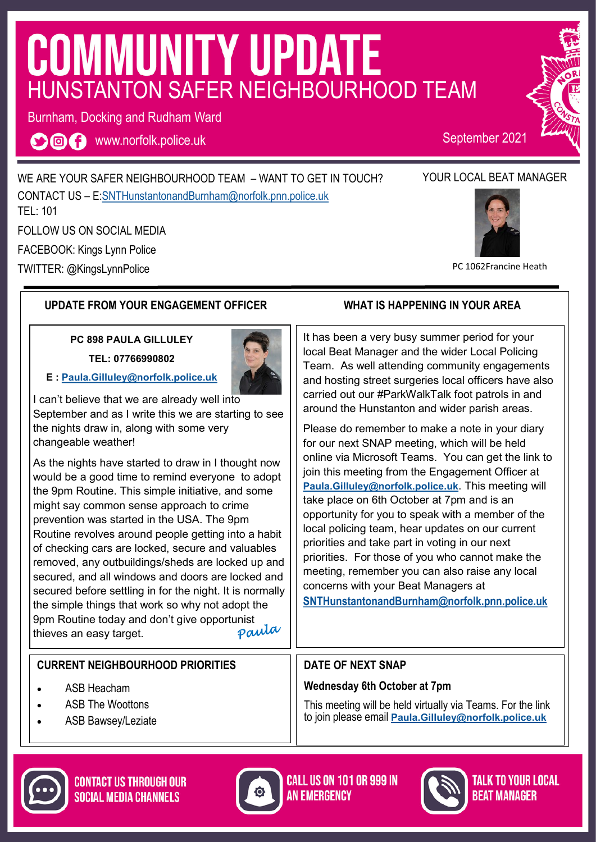## **COMMUNITY UPDATE** HUNSTANTON SAFER NEIGHBOURHOOD TEAM

Burnham, Docking and Rudham Ward

**OOO** www.norfolk.police.uk

September 2021

WE ARE YOUR SAFER NEIGHBOURHOOD TEAM – WANT TO GET IN TOUCH? CONTACT US – E:[SNTHunstantonandBurnham@norfolk.pnn.police.uk](mailto:SNTHunstantonandBurnham@norfolk.pnn.police.uk) TEL: 101

FOLLOW US ON SOCIAL MEDIA

FACEBOOK: Kings Lynn Police

TWITTER: @KingsLynnPolice

#### **UPDATE FROM YOUR ENGAGEMENT OFFICER WHAT IS HAPPENING IN YOUR AREA**

**PC 898 PAULA GILLULEY**

**TEL: 07766990802**



**E : [Paula.Gilluley@norfolk.police.uk](mailto:Paula.Gilluley@norfolk.pnn.police.uk)**

I can't believe that we are already well into September and as I write this we are starting to see the nights draw in, along with some very changeable weather!

As the nights have started to draw in I thought now would be a good time to remind everyone to adopt the 9pm Routine. This simple initiative, and some might say common sense approach to crime prevention was started in the USA. The 9pm Routine revolves around people getting into a habit of checking cars are locked, secure and valuables removed, any outbuildings/sheds are locked up and secured, and all windows and doors are locked and secured before settling in for the night. It is normally the simple things that work so why not adopt the 9pm Routine today and don't give opportunist<br>thieves an easy target. thieves an easy target.

#### **CURRENT NEIGHBOURHOOD PRIORITIES**

**CONTACT US THROUGH OUR** 

**SOCIAL MEDIA CHANNELS** 

- ASB Heacham
- ASB The Woottons
- ASB Bawsey/Leziate



**CALL US ON 101 OR 999 IN AN FMFRGFNCY** 



# YOUR LOCAL BEAT MANAGER



PC 1062Francine Heath

It has been a very busy summer period for your local Beat Manager and the wider Local Policing Team. As well attending community engagements and hosting street surgeries local officers have also carried out our #ParkWalkTalk foot patrols in and around the Hunstanton and wider parish areas.

Please do remember to make a note in your diary for our next SNAP meeting, which will be held online via Microsoft Teams. You can get the link to join this meeting from the Engagement Officer at **[Paula.Gilluley@norfolk.police.uk](mailto:Paula.Gilluley@norfolk.pnn.police.uk)**. This meeting will take place on 6th October at 7pm and is an opportunity for you to speak with a member of the local policing team, hear updates on our current priorities and take part in voting in our next priorities. For those of you who cannot make the meeting, remember you can also raise any local concerns with your Beat Managers at

**[SNTHunstantonandBurnham@norfolk.pnn.police.uk](mailto:SNTHunstantonandBurnham@norfolk.pnn.police.uk)**

#### **DATE OF NEXT SNAP**

#### **Wednesday 6th October at 7pm**

This meeting will be held virtually via Teams. For the link to join please email **[Paula.Gilluley@norfolk.police.uk](mailto:Paula.Gilluley@norfolk.pnn.police.uk)**